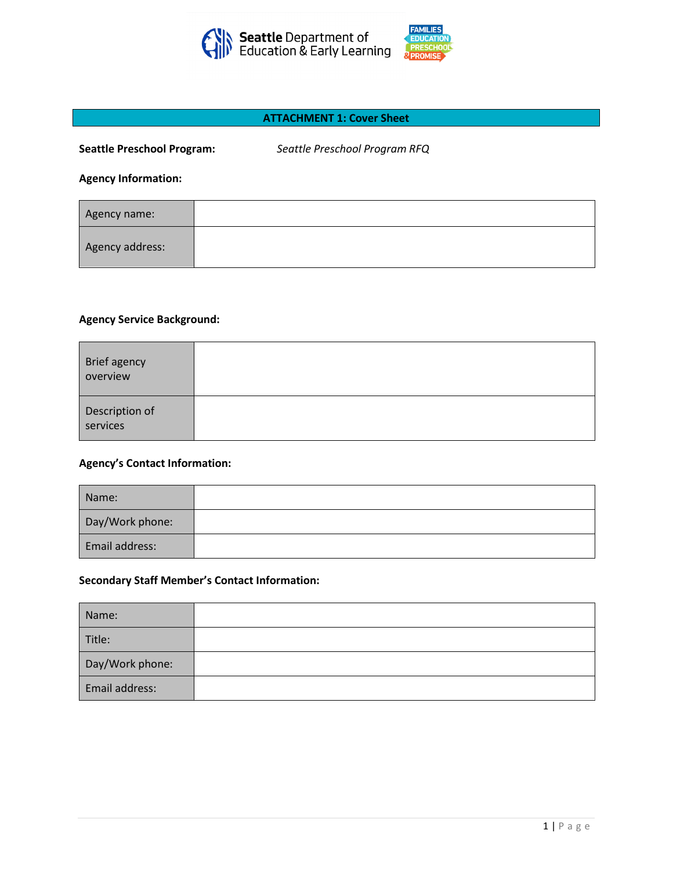



## **ATTACHMENT 1: Cover Sheet**

| <b>Seattle Preschool Program:</b> | Seattle Preschool Program RFQ |
|-----------------------------------|-------------------------------|
| <b>Agency Information:</b>        |                               |
| Agency name:                      |                               |

# **Agency Service Background:**

Agency address:

| Brief agency<br>overview   |  |
|----------------------------|--|
| Description of<br>services |  |

## **Agency's Contact Information:**

| Name:           |  |
|-----------------|--|
| Day/Work phone: |  |
| Email address:  |  |

## **Secondary Staff Member's Contact Information:**

| Name:           |  |
|-----------------|--|
| Title:          |  |
| Day/Work phone: |  |
| Email address:  |  |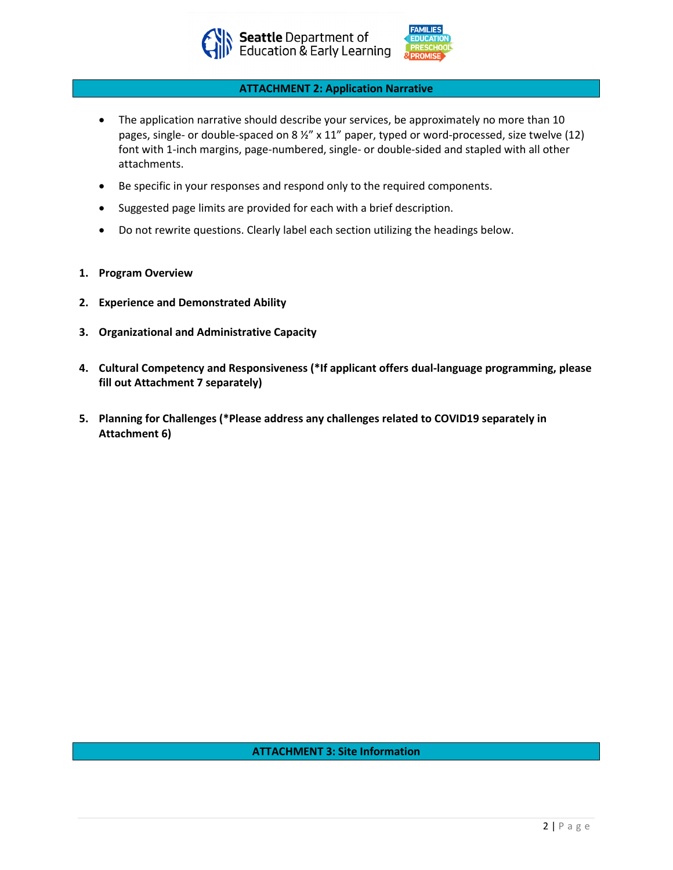



#### **ATTACHMENT 2: Application Narrative**

- The application narrative should describe your services, be approximately no more than 10 pages, single- or double-spaced on 8 ½" x 11" paper, typed or word-processed, size twelve (12) font with 1-inch margins, page-numbered, single- or double-sided and stapled with all other attachments.
- Be specific in your responses and respond only to the required components.
- Suggested page limits are provided for each with a brief description.
- Do not rewrite questions. Clearly label each section utilizing the headings below.

#### **1. Program Overview**

- **2. Experience and Demonstrated Ability**
- **3. Organizational and Administrative Capacity**
- **4. Cultural Competency and Responsiveness (\*If applicant offers dual-language programming, please fill out Attachment 7 separately)**
- **5. Planning for Challenges (\*Please address any challenges related to COVID19 separately in Attachment 6)**

#### **ATTACHMENT 3: Site Information**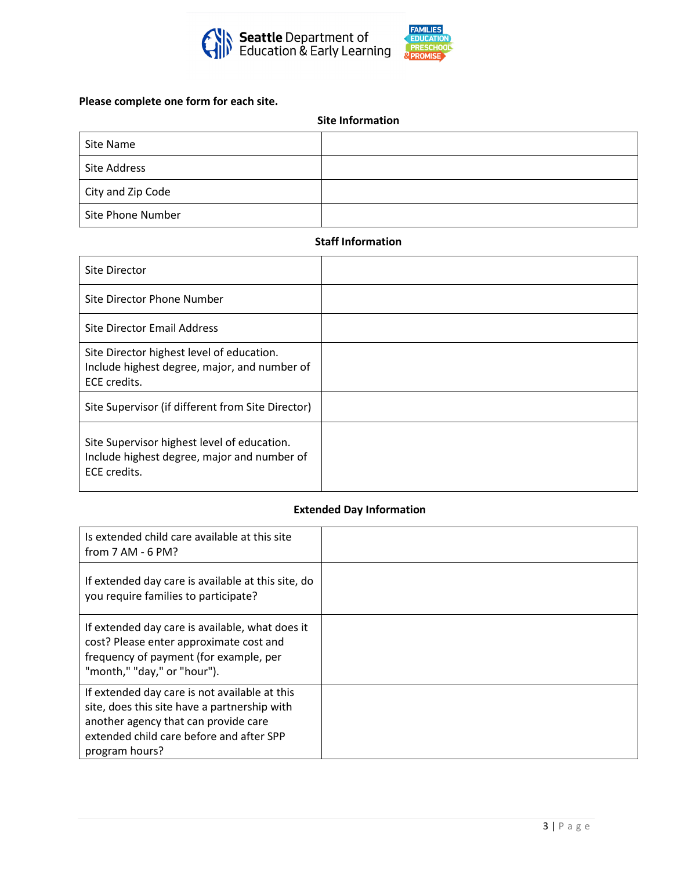



## **Please complete one form for each site.**

| <b>Site Information</b> |  |  |
|-------------------------|--|--|
| Site Name               |  |  |
| Site Address            |  |  |
| City and Zip Code       |  |  |
| Site Phone Number       |  |  |

#### **Staff Information**

| Site Director                                                                                              |  |
|------------------------------------------------------------------------------------------------------------|--|
| Site Director Phone Number                                                                                 |  |
| Site Director Email Address                                                                                |  |
| Site Director highest level of education.<br>Include highest degree, major, and number of<br>ECE credits.  |  |
| Site Supervisor (if different from Site Director)                                                          |  |
| Site Supervisor highest level of education.<br>Include highest degree, major and number of<br>ECE credits. |  |

## **Extended Day Information**

| Is extended child care available at this site<br>from $7$ AM - 6 PM?                                                                                                                                |  |
|-----------------------------------------------------------------------------------------------------------------------------------------------------------------------------------------------------|--|
| If extended day care is available at this site, do<br>you require families to participate?                                                                                                          |  |
| If extended day care is available, what does it<br>cost? Please enter approximate cost and<br>frequency of payment (for example, per<br>"month," "day," or "hour").                                 |  |
| If extended day care is not available at this<br>site, does this site have a partnership with<br>another agency that can provide care<br>extended child care before and after SPP<br>program hours? |  |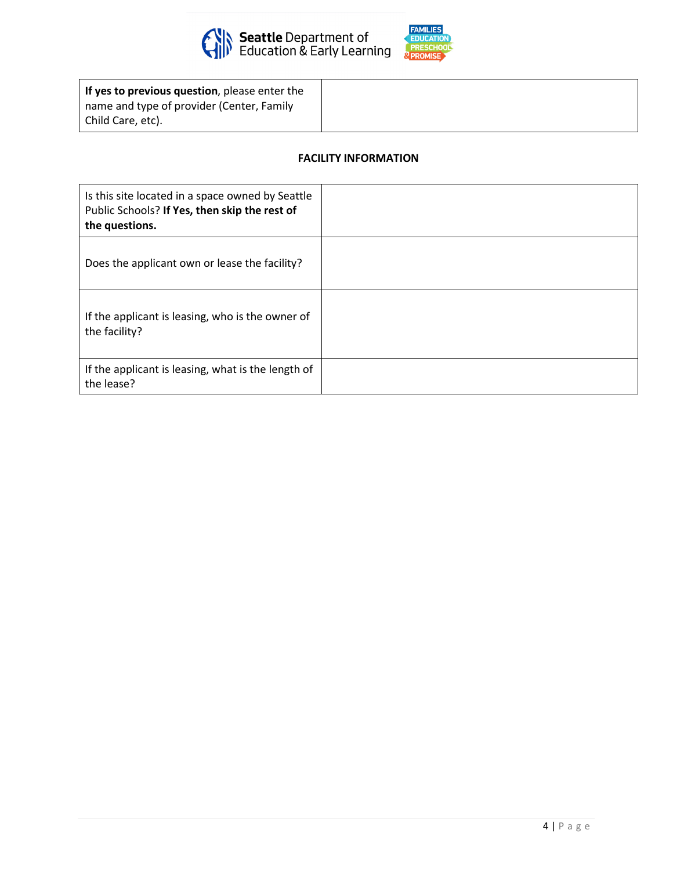



| If yes to previous question, please enter the |
|-----------------------------------------------|
| name and type of provider (Center, Family     |
| Child Care, etc).                             |

## **FACILITY INFORMATION**

| Is this site located in a space owned by Seattle<br>Public Schools? If Yes, then skip the rest of<br>the questions. |  |
|---------------------------------------------------------------------------------------------------------------------|--|
| Does the applicant own or lease the facility?                                                                       |  |
| If the applicant is leasing, who is the owner of<br>the facility?                                                   |  |
| If the applicant is leasing, what is the length of<br>the lease?                                                    |  |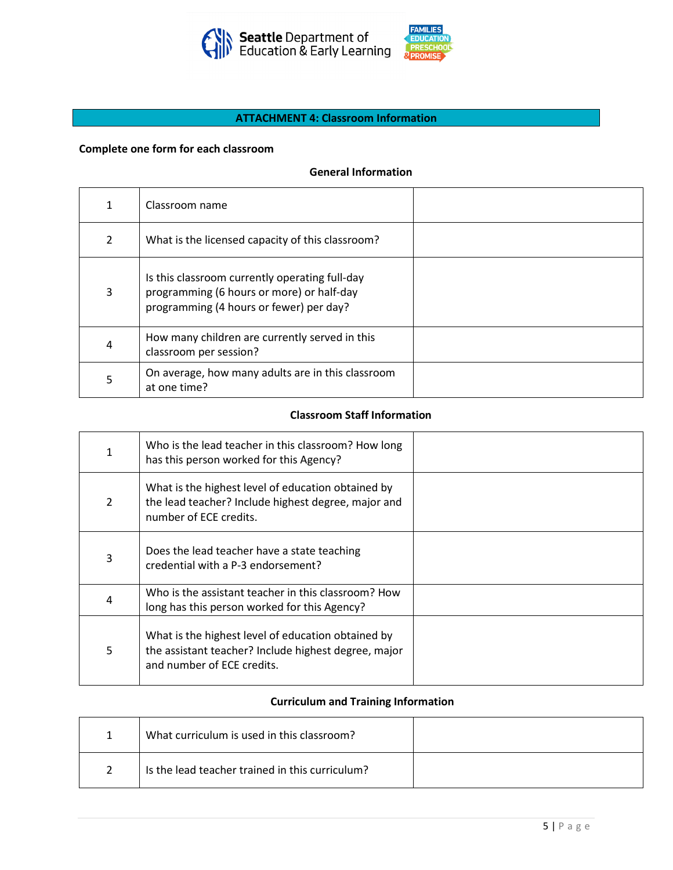



## **ATTACHMENT 4: Classroom Information**

#### **Complete one form for each classroom**

#### **General Information**

|   | Classroom name                                                                                                                         |  |
|---|----------------------------------------------------------------------------------------------------------------------------------------|--|
|   | What is the licensed capacity of this classroom?                                                                                       |  |
| 3 | Is this classroom currently operating full-day<br>programming (6 hours or more) or half-day<br>programming (4 hours or fewer) per day? |  |
| 4 | How many children are currently served in this<br>classroom per session?                                                               |  |
|   | On average, how many adults are in this classroom<br>at one time?                                                                      |  |

#### **Classroom Staff Information**

|    | Who is the lead teacher in this classroom? How long<br>has this person worked for this Agency?                                           |  |
|----|------------------------------------------------------------------------------------------------------------------------------------------|--|
| 2  | What is the highest level of education obtained by<br>the lead teacher? Include highest degree, major and<br>number of ECE credits.      |  |
| 3  | Does the lead teacher have a state teaching<br>credential with a P-3 endorsement?                                                        |  |
| 4  | Who is the assistant teacher in this classroom? How<br>long has this person worked for this Agency?                                      |  |
| 5. | What is the highest level of education obtained by<br>the assistant teacher? Include highest degree, major<br>and number of ECE credits. |  |

## **Curriculum and Training Information**

| What curriculum is used in this classroom?      |  |
|-------------------------------------------------|--|
| Is the lead teacher trained in this curriculum? |  |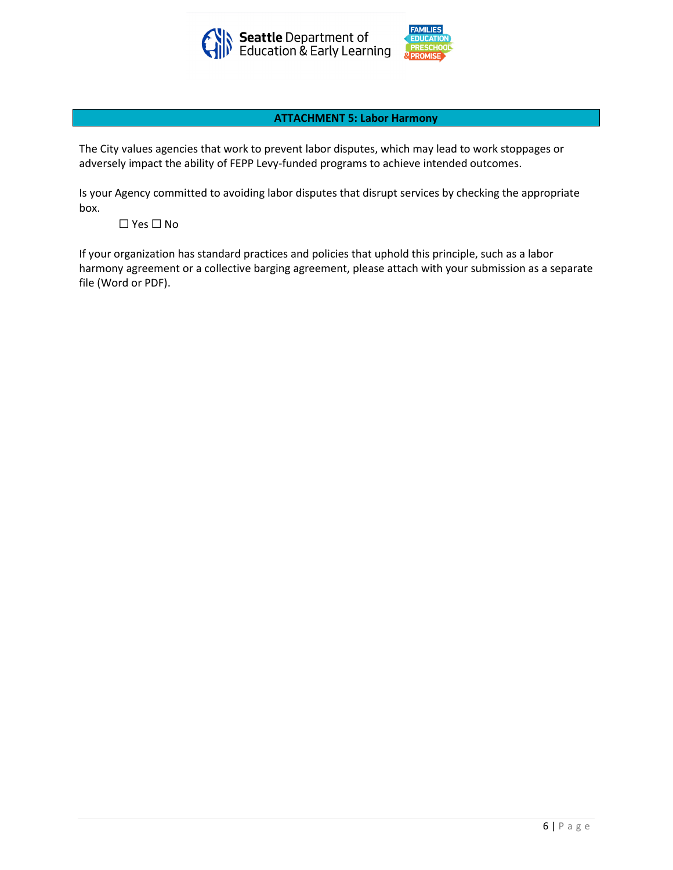



## **ATTACHMENT 5: Labor Harmony**

The City values agencies that work to prevent labor disputes, which may lead to work stoppages or adversely impact the ability of FEPP Levy-funded programs to achieve intended outcomes.

Is your Agency committed to avoiding labor disputes that disrupt services by checking the appropriate box.

☐ Yes ☐ No

If your organization has standard practices and policies that uphold this principle, such as a labor harmony agreement or a collective barging agreement, please attach with your submission as a separate file (Word or PDF).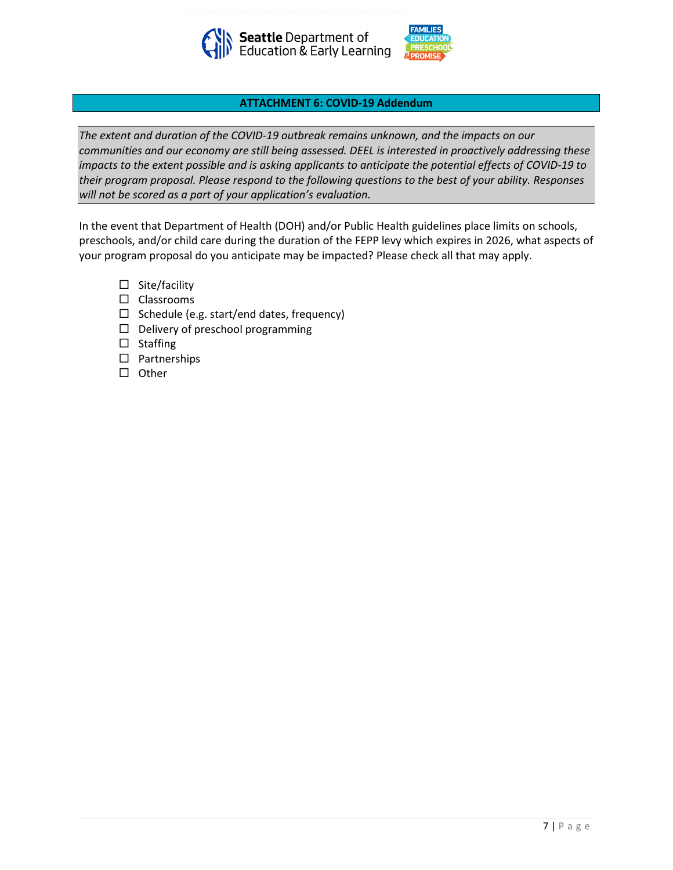



## **ATTACHMENT 6: COVID-19 Addendum**

*The extent and duration of the COVID-19 outbreak remains unknown, and the impacts on our communities and our economy are still being assessed. DEEL is interested in proactively addressing these impacts to the extent possible and is asking applicants to anticipate the potential effects of COVID-19 to their program proposal. Please respond to the following questions to the best of your ability. Responses will not be scored as a part of your application's evaluation.*

In the event that Department of Health (DOH) and/or Public Health guidelines place limits on schools, preschools, and/or child care during the duration of the FEPP levy which expires in 2026, what aspects of your program proposal do you anticipate may be impacted? Please check all that may apply.

- $\square$  Site/facility
- $\square$  Classrooms
- $\Box$  Schedule (e.g. start/end dates, frequency)
- $\square$  Delivery of preschool programming
- $\square$  Staffing
- $\square$  Partnerships
- $\square$  Other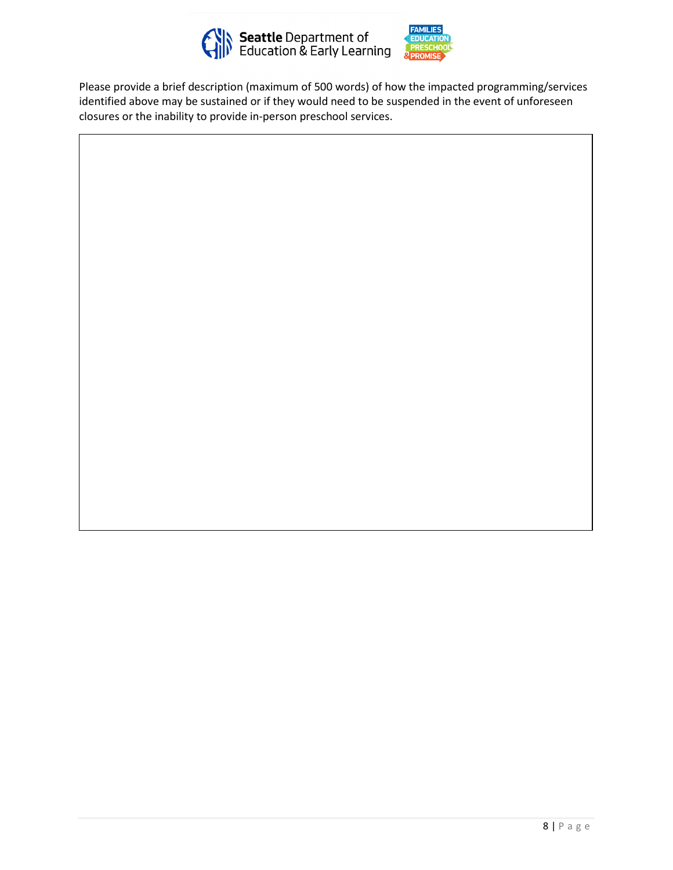



Please provide a brief description (maximum of 500 words) of how the impacted programming/services identified above may be sustained or if they would need to be suspended in the event of unforeseen closures or the inability to provide in-person preschool services.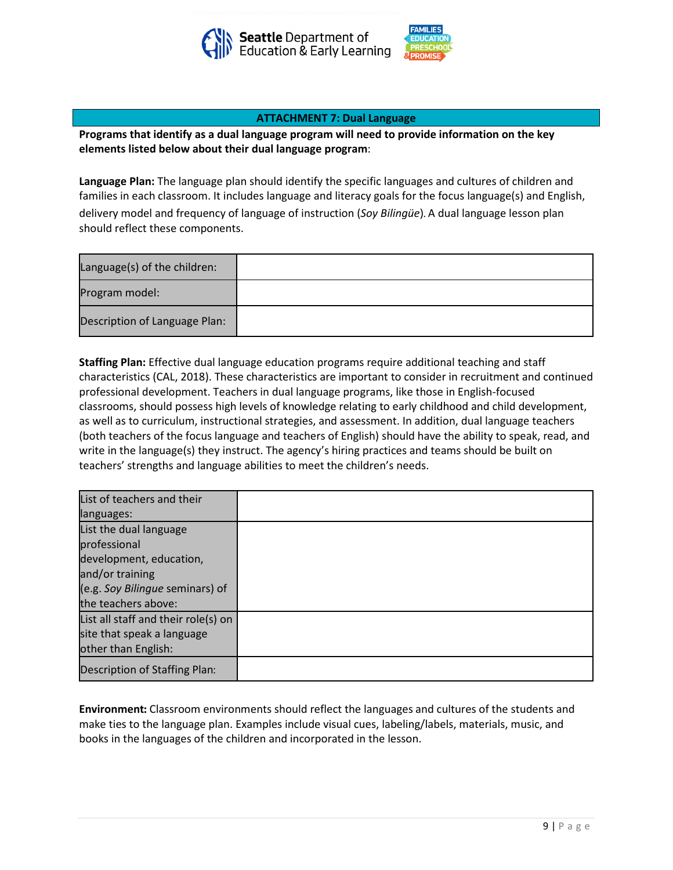



### **ATTACHMENT 7: Dual Language**

**Programs that identify as a dual language program will need to provide information on the key elements listed below about their dual language program**:

**Language Plan:** The language plan should identify the specific languages and cultures of children and families in each classroom. It includes language and literacy goals for the focus language(s) and English, delivery model and frequency of language of instruction (*Soy Bilingüe*). A dual language lesson plan should reflect these components.

| Language(s) of the children:  |  |
|-------------------------------|--|
| Program model:                |  |
| Description of Language Plan: |  |

**Staffing Plan:** Effective dual language education programs require additional teaching and staff characteristics (CAL, 2018). These characteristics are important to consider in recruitment and continued professional development. Teachers in dual language programs, like those in English-focused classrooms, should possess high levels of knowledge relating to early childhood and child development, as well as to curriculum, instructional strategies, and assessment. In addition, dual language teachers (both teachers of the focus language and teachers of English) should have the ability to speak, read, and write in the language(s) they instruct. The agency's hiring practices and teams should be built on teachers' strengths and language abilities to meet the children's needs.

| List of teachers and their          |  |
|-------------------------------------|--|
| languages:                          |  |
| List the dual language              |  |
| professional                        |  |
| development, education,             |  |
| and/or training                     |  |
| (e.g. Soy Bilingue seminars) of     |  |
| the teachers above:                 |  |
| List all staff and their role(s) on |  |
| site that speak a language          |  |
| other than English:                 |  |
| Description of Staffing Plan:       |  |

**Environment:** Classroom environments should reflect the languages and cultures of the students and make ties to the language plan. Examples include visual cues, labeling/labels, materials, music, and books in the languages of the children and incorporated in the lesson.